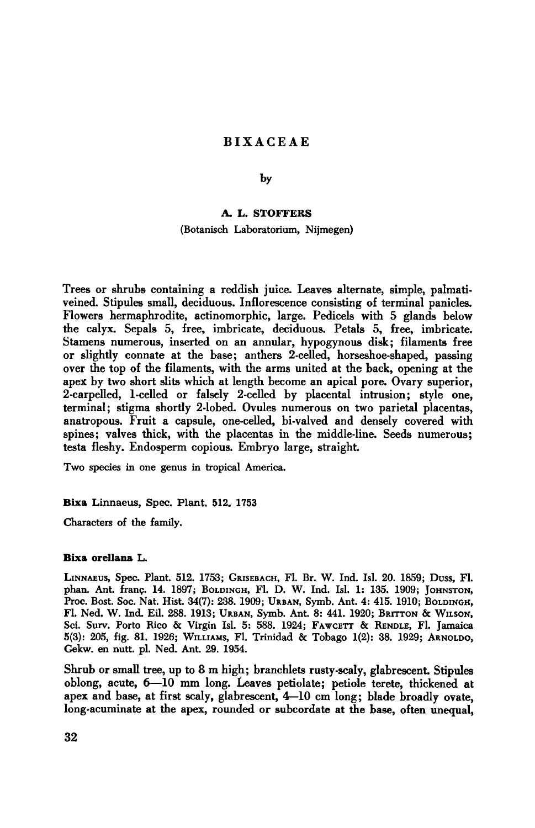# Bixaceae

by

## A.L. Stoffers

## (Botanisch Laboratorium, Nijmegen)

Trees or shrubs containing a reddish juice. Leaves alternate, simple, palmativeined. Stipules small, deciduous. Inflorescence consisting of terminal panicles. Flowers hermaphrodite, actinomorphic, large. Pedicels with <sup>5</sup> glands below the calyx. Sepals 5, free, imbricate, deciduous. Petals 5, free, imbricate. Stamens numerous, inserted on an annular, hypogynous disk; filaments free or slightly connate at the base; anthers 2-celled, horseshoe-shaped, passing over the top of the filaments, with the arms united at the back, opening at the apex by two short slits which at length become an apical pore. Ovary superior, 2-carpelled, 1-celled or falsely 2-celled by placental intrusion; style one, terminal; stigma shortly 2-lobed. Ovules numerous on two parietal placentas, anatropous. Fruit <sup>a</sup> capsule, one-celled, bi-valved and densely covered with spines; valves thick, with the placentas in the middle-line. Seeds numerous; testa fleshy. Endosperm copious. Embryo large, straight.

Two species in one genus in tropical America.

### Bixa Linnaeus, Spec. Plant. 512. <sup>1753</sup>

Characters of the family.

### Bixa orellana L.

LINNAEUS, Spec. Plant. 512. 1753; GRISEBACH, Fl. Br. W. Ind. Isl. 20. 1859; Duss, Fl. phan. Ant. frang. 14. 1897; BOLDINGH, Fl. D. W. Ind. Isl. 1: 135. 1909; JOHNSTON, Proc. Bost. Soc. Nat. Hist. 34(7): 238. 1909; URBAN, Symb. Ant. 4: 415. 1910; BOLDINGH, Fl. Ned. W. Ind. Eil. 288. 1913; URBAN, Symb. Ant. 8: 441. 1920; BRITTON & WILSON, Sci. Surv. Porto Bico & Virgin Isl. 5: 588. 1924; FAWCETT & BENDLE, Fl. Jamaica 5(3): 205, fig. 81. 1926; WILLIAMS, Fl. Trinidad & Tobago 1(2): 38. 1929; ARNOLDO, Gekw. en nutt. pi. Ned. Ant. 29. 1954.

Shrub or small tree, up to 8 m high; branchlets rusty-scaly, glabrescent. Stipules oblong, acute, 6—10 mm long. Leaves petiolate; petiole terete, thickened at apex and base, at first scaly, glabrescent, 4-10 cm long; blade broadly ovate, long-acuminate at the apex, rounded or subcordate at the base, often unequal,